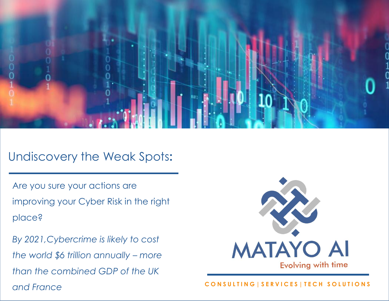

## Our Vision Undiscovery the Weak Spots**:**

Are you sure your actions are improving your Cyber Risk in the right place?

*By 2021,Cybercrime is likely to cost the world \$6 trillion annually – more than the combined GDP of the UK and France*



### **CONSULTING|SERVICES|TECH SOLUTIONS**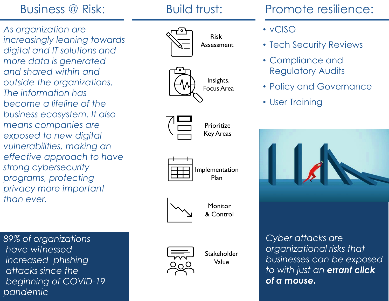## Business @ Risk:

*As organization are increasingly leaning towards digital and IT solutions and more data is generated and shared within and outside the organizations. The information has become a lifeline of the business ecosystem. It also means companies are exposed to new digital vulnerabilities, making an effective approach to have strong cybersecurity programs, protecting privacy more important than ever.*

*89% of organizations have witnessed increased phishing attacks since the beginning of COVID-19 pandemic*



Risk Assessment









Monitor & Control



Stakeholder Value

# • Tech Security Reviews

• vCISO

- Compliance and Regulatory Audits
- Policy and Governance
- User Training



*Cyber attacks are organizational risks that businesses can be exposed to with just an errant click of a mouse.*

## Build trust: Promote resilience: